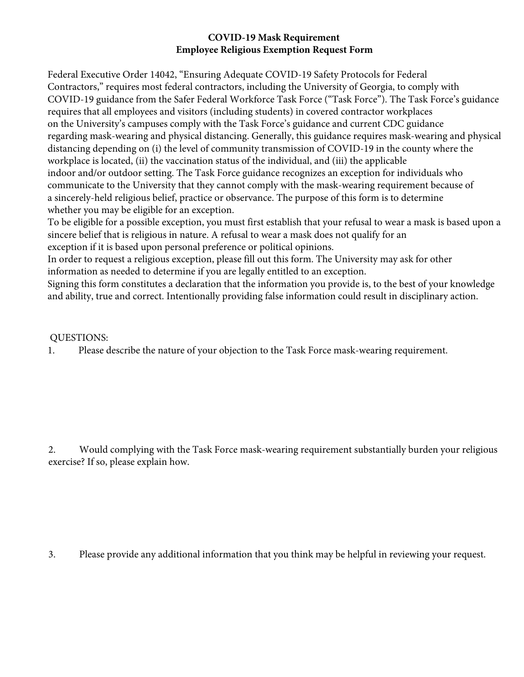## **COVID-19 Mask Requirement Employee Religious Exemption Request Form**

Federal Executive Order 14042, "Ensuring Adequate COVID-19 Safety Protocols for Federal Contractors," requires most federal contractors, including the University of Georgia, to comply with COVID-19 guidance from the Safer Federal Workforce Task Force ("Task Force"). The Task Force's guidance requires that all employees and visitors (including students) in covered contractor workplaces on the University's campuses comply with the Task Force's guidance and current CDC guidance regarding mask-wearing and physical distancing. Generally, this guidance requires mask-wearing and physical distancing depending on (i) the level of community transmission of COVID-19 in the county where the workplace is located, (ii) the vaccination status of the individual, and (iii) the applicable indoor and/or outdoor setting. The Task Force guidance recognizes an exception for individuals who communicate to the University that they cannot comply with the mask-wearing requirement because of a sincerely-held religious belief, practice or observance. The purpose of this form is to determine whether you may be eligible for an exception.

To be eligible for a possible exception, you must first establish that your refusal to wear a mask is based upon a sincere belief that is religious in nature. A refusal to wear a mask does not qualify for an exception if it is based upon personal preference or political opinions.

In order to request a religious exception, please fill out this form. The University may ask for other information as needed to determine if you are legally entitled to an exception.

Signing this form constitutes a declaration that the information you provide is, to the best of your knowledge and ability, true and correct. Intentionally providing false information could result in disciplinary action.

## QUESTIONS:

1. Please describe the nature of your objection to the Task Force mask-wearing requirement.

2. Would complying with the Task Force mask-wearing requirement substantially burden your religious exercise? If so, please explain how.

3. Please provide any additional information that you think may be helpful in reviewing your request.